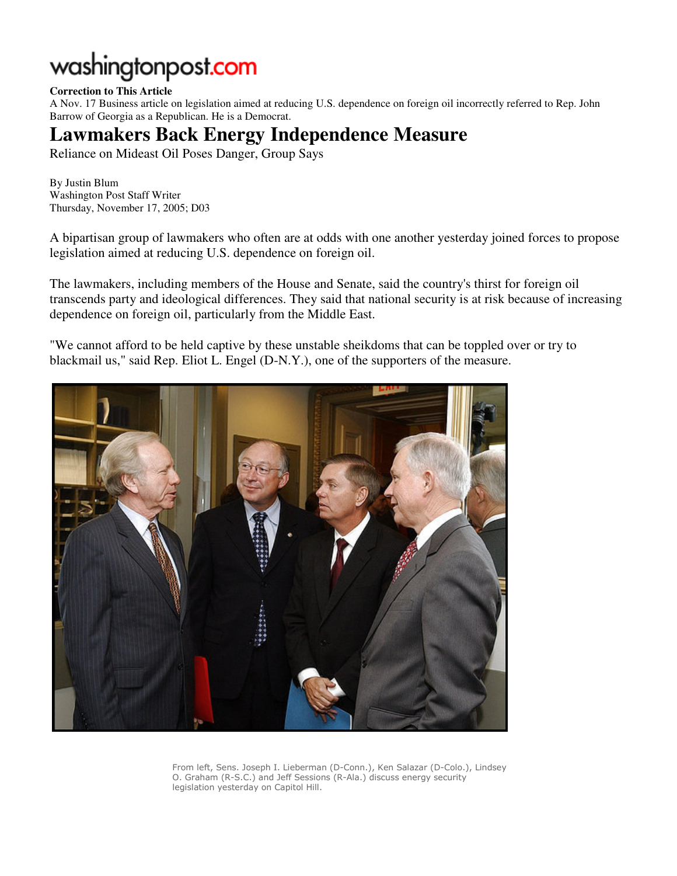## washingtonpost.com

## **Correction to This Article**

A Nov. 17 Business article on legislation aimed at reducing U.S. dependence on foreign oil incorrectly referred to Rep. John Barrow of Georgia as a Republican. He is a Democrat.

## **Lawmakers Back Energy Independence Measure**

Reliance on Mideast Oil Poses Danger, Group Says

By Justin Blum Washington Post Staff Writer Thursday, November 17, 2005; D03

A bipartisan group of lawmakers who often are at odds with one another yesterday joined forces to propose legislation aimed at reducing U.S. dependence on foreign oil.

The lawmakers, including members of the House and Senate, said the country's thirst for foreign oil transcends party and ideological differences. They said that national security is at risk because of increasing dependence on foreign oil, particularly from the Middle East.

"We cannot afford to be held captive by these unstable sheikdoms that can be toppled over or try to blackmail us," said Rep. Eliot L. Engel (D-N.Y.), one of the supporters of the measure.



From left, Sens. Joseph I. Lieberman (D-Conn.), Ken Salazar (D-Colo.), Lindsey O. Graham (R-S.C.) and Jeff Sessions (R-Ala.) discuss energy security legislation yesterday on Capitol Hill.